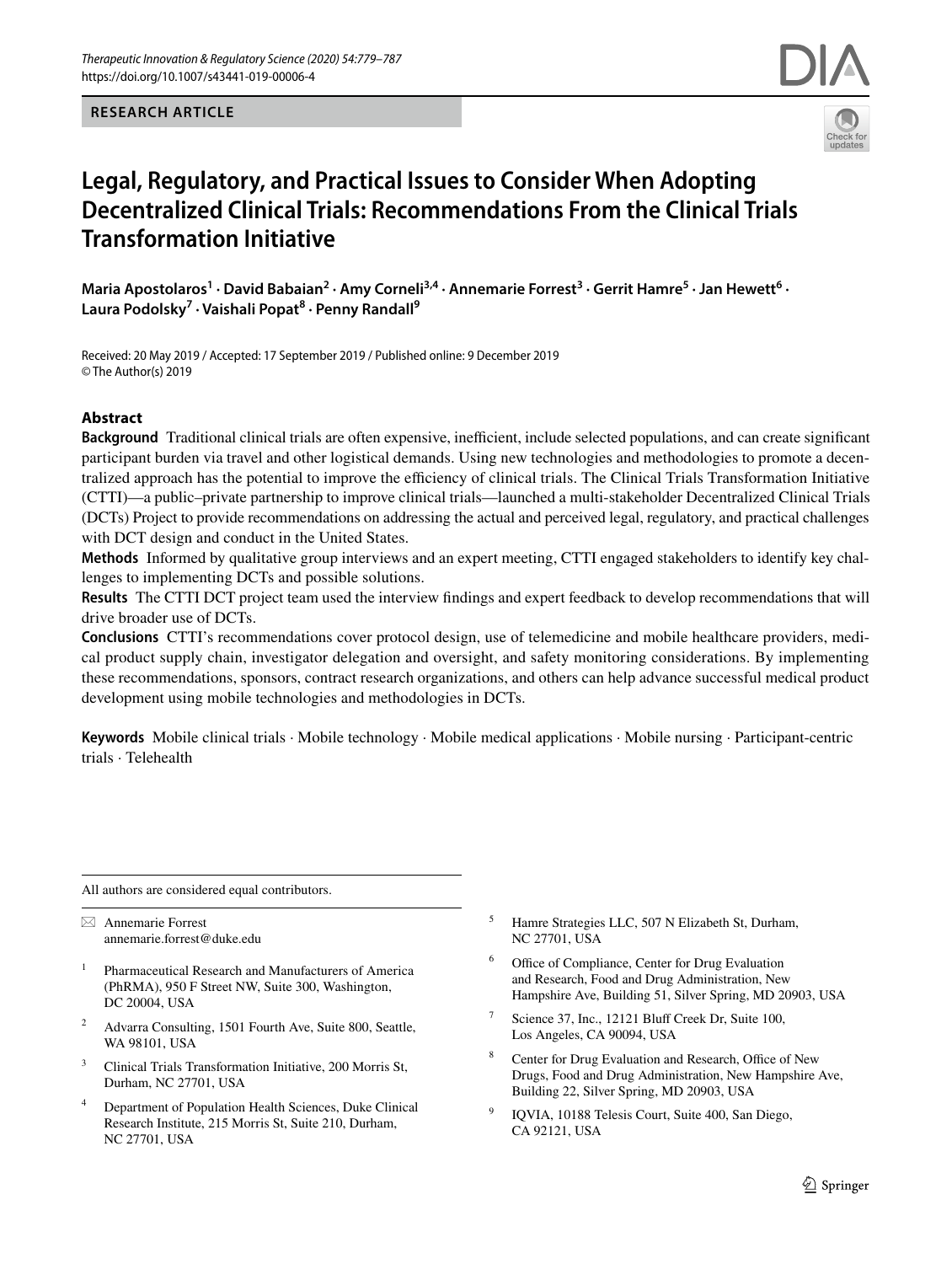**RESEARCH ARTICLE**



# **Legal, Regulatory, and Practical Issues to Consider When Adopting Decentralized Clinical Trials: Recommendations From the Clinical Trials Transformation Initiative**

Maria Apostolaros<sup>1</sup> · David Babaian<sup>2</sup> · Amy Corneli<sup>3,4</sup> · Annemarie Forrest<sup>3</sup> · Gerrit Hamre<sup>5</sup> · Jan Hewett<sup>6</sup> · **Laura Podolsky<sup>7</sup> · Vaishali Popat<sup>8</sup> · Penny Randall9**

Received: 20 May 2019 / Accepted: 17 September 2019 / Published online: 9 December 2019 © The Author(s) 2019

## **Abstract**

**Background** Traditional clinical trials are often expensive, inefficient, include selected populations, and can create significant participant burden via travel and other logistical demands. Using new technologies and methodologies to promote a decentralized approach has the potential to improve the efficiency of clinical trials. The Clinical Trials Transformation Initiative (CTTI)—a public–private partnership to improve clinical trials—launched a multi-stakeholder Decentralized Clinical Trials (DCTs) Project to provide recommendations on addressing the actual and perceived legal, regulatory, and practical challenges with DCT design and conduct in the United States.

**Methods** Informed by qualitative group interviews and an expert meeting, CTTI engaged stakeholders to identify key challenges to implementing DCTs and possible solutions.

**Results** The CTTI DCT project team used the interview fndings and expert feedback to develop recommendations that will drive broader use of DCTs.

**Conclusions** CTTI's recommendations cover protocol design, use of telemedicine and mobile healthcare providers, medical product supply chain, investigator delegation and oversight, and safety monitoring considerations. By implementing these recommendations, sponsors, contract research organizations, and others can help advance successful medical product development using mobile technologies and methodologies in DCTs.

**Keywords** Mobile clinical trials · Mobile technology · Mobile medical applications · Mobile nursing · Participant-centric trials · Telehealth

All authors are considered equal contributors.

 $\boxtimes$  Annemarie Forrest annemarie.forrest@duke.edu

- <sup>1</sup> Pharmaceutical Research and Manufacturers of America (PhRMA), 950 F Street NW, Suite 300, Washington, DC 20004, USA
- <sup>2</sup> Advarra Consulting, 1501 Fourth Ave, Suite 800, Seattle, WA 98101, USA
- <sup>3</sup> Clinical Trials Transformation Initiative, 200 Morris St, Durham, NC 27701, USA
- Department of Population Health Sciences, Duke Clinical Research Institute, 215 Morris St, Suite 210, Durham, NC 27701, USA
- <sup>5</sup> Hamre Strategies LLC, 507 N Elizabeth St, Durham, NC 27701, USA
- Office of Compliance, Center for Drug Evaluation and Research, Food and Drug Administration, New Hampshire Ave, Building 51, Silver Spring, MD 20903, USA
- Science 37, Inc., 12121 Bluff Creek Dr, Suite 100, Los Angeles, CA 90094, USA
- Center for Drug Evaluation and Research, Office of New Drugs, Food and Drug Administration, New Hampshire Ave, Building 22, Silver Spring, MD 20903, USA
- <sup>9</sup> IQVIA, 10188 Telesis Court, Suite 400, San Diego, CA 92121, USA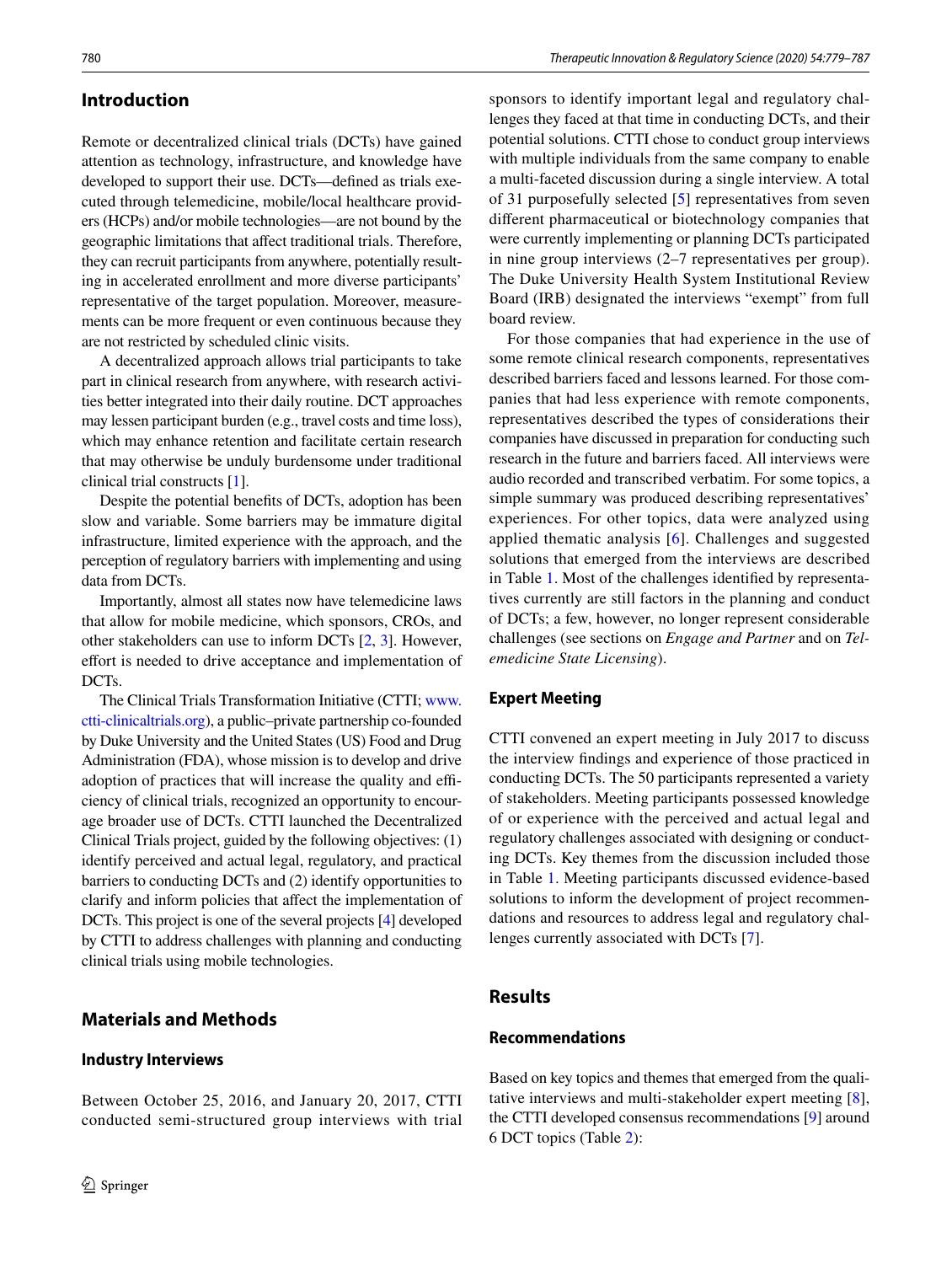# **Introduction**

Remote or decentralized clinical trials (DCTs) have gained attention as technology, infrastructure, and knowledge have developed to support their use. DCTs—defned as trials executed through telemedicine, mobile/local healthcare providers (HCPs) and/or mobile technologies—are not bound by the geographic limitations that afect traditional trials. Therefore, they can recruit participants from anywhere, potentially resulting in accelerated enrollment and more diverse participants' representative of the target population. Moreover, measurements can be more frequent or even continuous because they are not restricted by scheduled clinic visits.

A decentralized approach allows trial participants to take part in clinical research from anywhere, with research activities better integrated into their daily routine. DCT approaches may lessen participant burden (e.g., travel costs and time loss), which may enhance retention and facilitate certain research that may otherwise be unduly burdensome under traditional clinical trial constructs [\[1](#page-7-0)].

Despite the potential benefts of DCTs, adoption has been slow and variable. Some barriers may be immature digital infrastructure, limited experience with the approach, and the perception of regulatory barriers with implementing and using data from DCTs.

Importantly, almost all states now have telemedicine laws that allow for mobile medicine, which sponsors, CROs, and other stakeholders can use to inform DCTs [[2,](#page-7-1) [3\]](#page-7-2). However, effort is needed to drive acceptance and implementation of DCTs.

The Clinical Trials Transformation Initiative (CTTI; [www.](http://www.ctti-clinicaltrials.org) [ctti-clinicaltrials.org](http://www.ctti-clinicaltrials.org)), a public–private partnership co-founded by Duke University and the United States (US) Food and Drug Administration (FDA), whose mission is to develop and drive adoption of practices that will increase the quality and efficiency of clinical trials, recognized an opportunity to encourage broader use of DCTs. CTTI launched the Decentralized Clinical Trials project, guided by the following objectives: (1) identify perceived and actual legal, regulatory, and practical barriers to conducting DCTs and (2) identify opportunities to clarify and inform policies that afect the implementation of DCTs. This project is one of the several projects [[4](#page-7-3)] developed by CTTI to address challenges with planning and conducting clinical trials using mobile technologies.

# **Materials and Methods**

## **Industry Interviews**

Between October 25, 2016, and January 20, 2017, CTTI conducted semi-structured group interviews with trial

sponsors to identify important legal and regulatory challenges they faced at that time in conducting DCTs, and their potential solutions. CTTI chose to conduct group interviews with multiple individuals from the same company to enable a multi-faceted discussion during a single interview. A total of 31 purposefully selected [[5](#page-7-4)] representatives from seven diferent pharmaceutical or biotechnology companies that were currently implementing or planning DCTs participated in nine group interviews (2–7 representatives per group). The Duke University Health System Institutional Review Board (IRB) designated the interviews "exempt" from full board review.

For those companies that had experience in the use of some remote clinical research components, representatives described barriers faced and lessons learned. For those companies that had less experience with remote components, representatives described the types of considerations their companies have discussed in preparation for conducting such research in the future and barriers faced. All interviews were audio recorded and transcribed verbatim. For some topics, a simple summary was produced describing representatives' experiences. For other topics, data were analyzed using applied thematic analysis [\[6\]](#page-8-0). Challenges and suggested solutions that emerged from the interviews are described in Table [1.](#page-2-0) Most of the challenges identifed by representatives currently are still factors in the planning and conduct of DCTs; a few, however, no longer represent considerable challenges (see sections on *Engage and Partner* and on *Telemedicine State Licensing*).

## **Expert Meeting**

CTTI convened an expert meeting in July 2017 to discuss the interview fndings and experience of those practiced in conducting DCTs. The 50 participants represented a variety of stakeholders. Meeting participants possessed knowledge of or experience with the perceived and actual legal and regulatory challenges associated with designing or conducting DCTs. Key themes from the discussion included those in Table [1.](#page-2-0) Meeting participants discussed evidence-based solutions to inform the development of project recommendations and resources to address legal and regulatory challenges currently associated with DCTs [\[7](#page-8-1)].

# **Results**

## **Recommendations**

Based on key topics and themes that emerged from the qualitative interviews and multi-stakeholder expert meeting [\[8](#page-8-2)], the CTTI developed consensus recommendations [\[9](#page-8-3)] around 6 DCT topics (Table [2](#page-3-0)):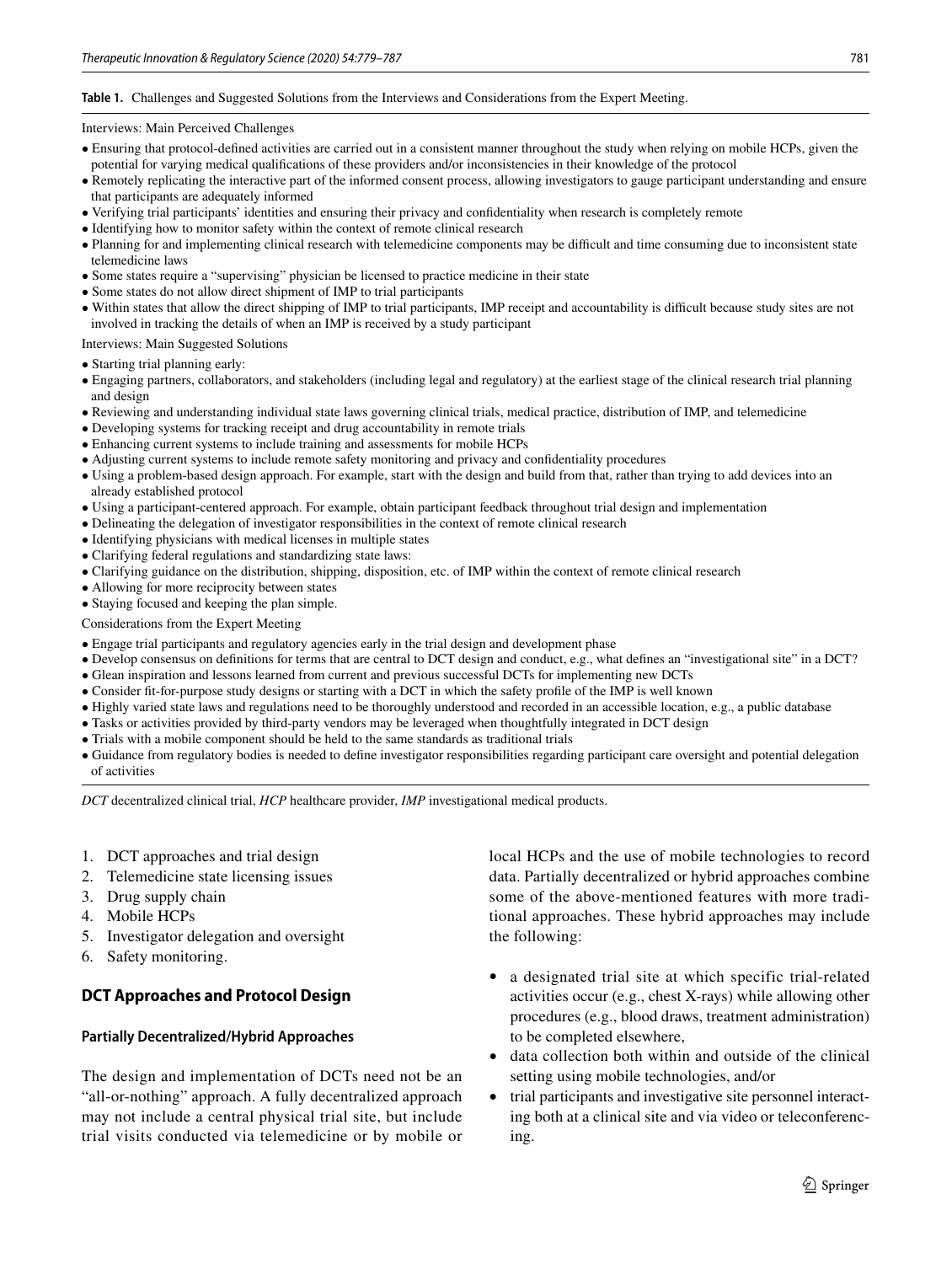#### <span id="page-2-0"></span>**Table 1.** Challenges and Suggested Solutions from the Interviews and Considerations from the Expert Meeting.

#### Interviews: Main Perceived Challenges

- Ensuring that protocol-defned activities are carried out in a consistent manner throughout the study when relying on mobile HCPs, given the potential for varying medical qualifcations of these providers and/or inconsistencies in their knowledge of the protocol
- Remotely replicating the interactive part of the informed consent process, allowing investigators to gauge participant understanding and ensure that participants are adequately informed
- Verifying trial participants' identities and ensuring their privacy and confdentiality when research is completely remote
- Identifying how to monitor safety within the context of remote clinical research
- Planning for and implementing clinical research with telemedicine components may be difficult and time consuming due to inconsistent state telemedicine laws
- Some states require a "supervising" physician be licensed to practice medicine in their state
- Some states do not allow direct shipment of IMP to trial participants
- Within states that allow the direct shipping of IMP to trial participants, IMP receipt and accountability is difficult because study sites are not involved in tracking the details of when an IMP is received by a study participant

Interviews: Main Suggested Solutions

- Starting trial planning early:
- Engaging partners, collaborators, and stakeholders (including legal and regulatory) at the earliest stage of the clinical research trial planning and design
- Reviewing and understanding individual state laws governing clinical trials, medical practice, distribution of IMP, and telemedicine
- Developing systems for tracking receipt and drug accountability in remote trials
- Enhancing current systems to include training and assessments for mobile HCPs
- Adjusting current systems to include remote safety monitoring and privacy and confdentiality procedures
- Using a problem-based design approach. For example, start with the design and build from that, rather than trying to add devices into an already established protocol
- Using a participant-centered approach. For example, obtain participant feedback throughout trial design and implementation
- Delineating the delegation of investigator responsibilities in the context of remote clinical research
- Identifying physicians with medical licenses in multiple states
- Clarifying federal regulations and standardizing state laws:
- Clarifying guidance on the distribution, shipping, disposition, etc. of IMP within the context of remote clinical research
- Allowing for more reciprocity between states
- Staying focused and keeping the plan simple.

Considerations from the Expert Meeting

- Engage trial participants and regulatory agencies early in the trial design and development phase
- Develop consensus on defnitions for terms that are central to DCT design and conduct, e.g., what defnes an "investigational site" in a DCT?
- Glean inspiration and lessons learned from current and previous successful DCTs for implementing new DCTs
- Consider ft-for-purpose study designs or starting with a DCT in which the safety profle of the IMP is well known
- Highly varied state laws and regulations need to be thoroughly understood and recorded in an accessible location, e.g., a public database
- Tasks or activities provided by third-party vendors may be leveraged when thoughtfully integrated in DCT design
- Trials with a mobile component should be held to the same standards as traditional trials
- Guidance from regulatory bodies is needed to defne investigator responsibilities regarding participant care oversight and potential delegation of activities

*DCT* decentralized clinical trial, *HCP* healthcare provider, *IMP* investigational medical products.

- 1. DCT approaches and trial design
- 2. Telemedicine state licensing issues
- 3. Drug supply chain
- 4. Mobile HCPs
- 5. Investigator delegation and oversight
- 6. Safety monitoring.

## **DCT Approaches and Protocol Design**

## **Partially Decentralized/Hybrid Approaches**

The design and implementation of DCTs need not be an "all-or-nothing" approach. A fully decentralized approach may not include a central physical trial site, but include trial visits conducted via telemedicine or by mobile or local HCPs and the use of mobile technologies to record data. Partially decentralized or hybrid approaches combine some of the above-mentioned features with more traditional approaches. These hybrid approaches may include the following:

- a designated trial site at which specific trial-related activities occur (e.g., chest X-rays) while allowing other procedures (e.g., blood draws, treatment administration) to be completed elsewhere,
- data collection both within and outside of the clinical setting using mobile technologies, and/or
- trial participants and investigative site personnel interacting both at a clinical site and via video or teleconferencing.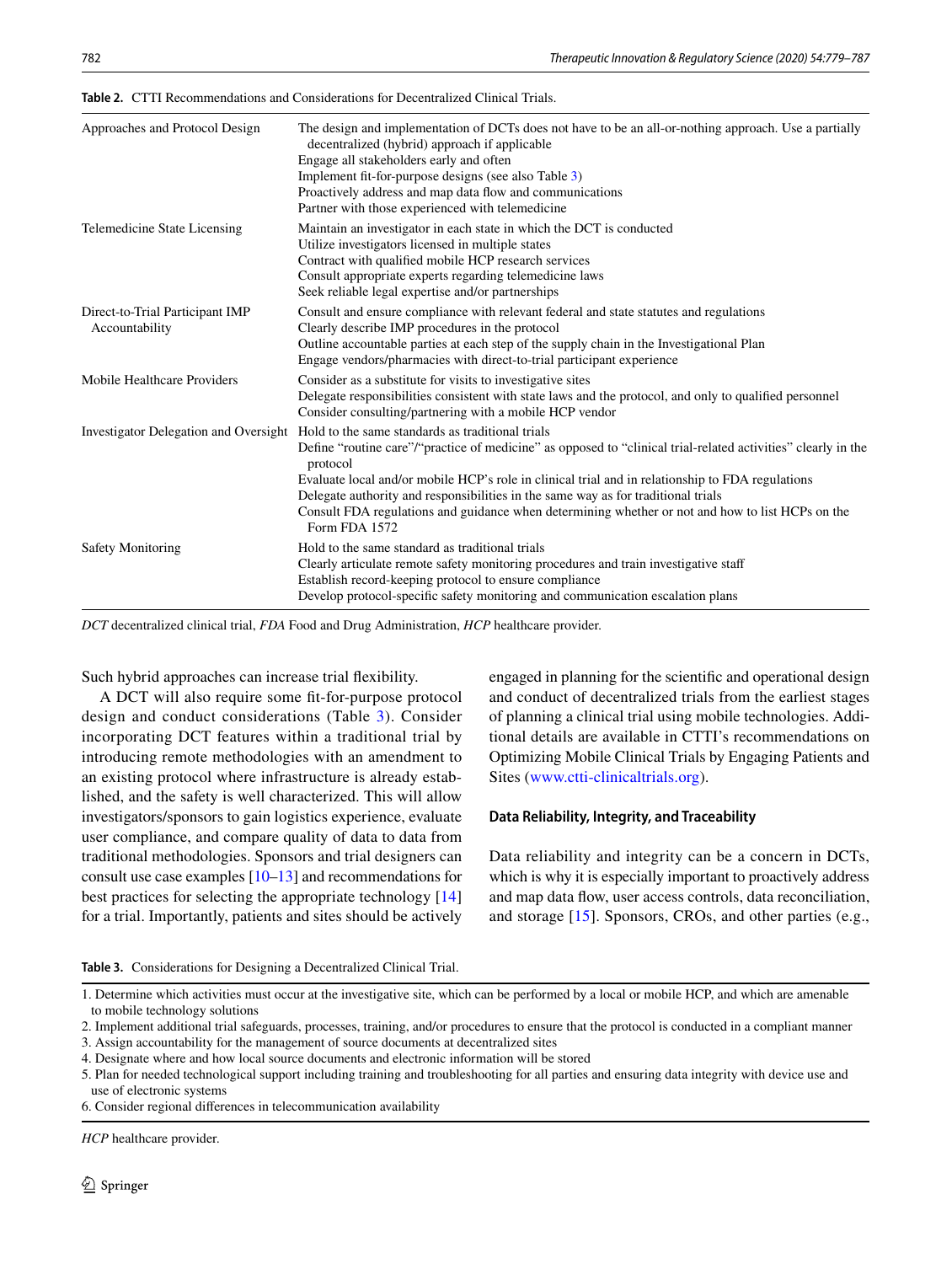| Approaches and Protocol Design                    | The design and implementation of DCTs does not have to be an all-or-nothing approach. Use a partially<br>decentralized (hybrid) approach if applicable<br>Engage all stakeholders early and often<br>Implement fit-for-purpose designs (see also Table 3)<br>Proactively address and map data flow and communications<br>Partner with those experienced with telemedicine                                                                                                                   |
|---------------------------------------------------|---------------------------------------------------------------------------------------------------------------------------------------------------------------------------------------------------------------------------------------------------------------------------------------------------------------------------------------------------------------------------------------------------------------------------------------------------------------------------------------------|
| Telemedicine State Licensing                      | Maintain an investigator in each state in which the DCT is conducted<br>Utilize investigators licensed in multiple states<br>Contract with qualified mobile HCP research services<br>Consult appropriate experts regarding telemedicine laws<br>Seek reliable legal expertise and/or partnerships                                                                                                                                                                                           |
| Direct-to-Trial Participant IMP<br>Accountability | Consult and ensure compliance with relevant federal and state statutes and regulations<br>Clearly describe IMP procedures in the protocol<br>Outline accountable parties at each step of the supply chain in the Investigational Plan<br>Engage vendors/pharmacies with direct-to-trial participant experience                                                                                                                                                                              |
| Mobile Healthcare Providers                       | Consider as a substitute for visits to investigative sites<br>Delegate responsibilities consistent with state laws and the protocol, and only to qualified personnel<br>Consider consulting/partnering with a mobile HCP vendor                                                                                                                                                                                                                                                             |
| Investigator Delegation and Oversight             | Hold to the same standards as traditional trials<br>Define "routine care"/"practice of medicine" as opposed to "clinical trial-related activities" clearly in the<br>protocol<br>Evaluate local and/or mobile HCP's role in clinical trial and in relationship to FDA regulations<br>Delegate authority and responsibilities in the same way as for traditional trials<br>Consult FDA regulations and guidance when determining whether or not and how to list HCPs on the<br>Form FDA 1572 |
| <b>Safety Monitoring</b>                          | Hold to the same standard as traditional trials<br>Clearly articulate remote safety monitoring procedures and train investigative staff<br>Establish record-keeping protocol to ensure compliance<br>Develop protocol-specific safety monitoring and communication escalation plans                                                                                                                                                                                                         |

<span id="page-3-0"></span>**Table 2.** CTTI Recommendations and Considerations for Decentralized Clinical Trials.

*DCT* decentralized clinical trial, *FDA* Food and Drug Administration, *HCP* healthcare provider.

Such hybrid approaches can increase trial fexibility.

A DCT will also require some ft-for-purpose protocol design and conduct considerations (Table [3\)](#page-3-1). Consider incorporating DCT features within a traditional trial by introducing remote methodologies with an amendment to an existing protocol where infrastructure is already established, and the safety is well characterized. This will allow investigators/sponsors to gain logistics experience, evaluate user compliance, and compare quality of data to data from traditional methodologies. Sponsors and trial designers can consult use case examples [[10–](#page-8-4)[13](#page-8-5)] and recommendations for best practices for selecting the appropriate technology [[14\]](#page-8-6) for a trial. Importantly, patients and sites should be actively engaged in planning for the scientifc and operational design and conduct of decentralized trials from the earliest stages of planning a clinical trial using mobile technologies. Additional details are available in CTTI's recommendations on Optimizing Mobile Clinical Trials by Engaging Patients and Sites ([www.ctti-clinicaltrials.org\)](http://www.ctti-clinicaltrials.org).

#### **Data Reliability, Integrity, and Traceability**

Data reliability and integrity can be a concern in DCTs, which is why it is especially important to proactively address and map data fow, user access controls, data reconciliation, and storage [\[15\]](#page-8-7). Sponsors, CROs, and other parties (e.g.,

<span id="page-3-1"></span>**Table 3.** Considerations for Designing a Decentralized Clinical Trial.

2. Implement additional trial safeguards, processes, training, and/or procedures to ensure that the protocol is conducted in a compliant manner

3. Assign accountability for the management of source documents at decentralized sites

6. Consider regional diferences in telecommunication availability

*HCP* healthcare provider.

<sup>1.</sup> Determine which activities must occur at the investigative site, which can be performed by a local or mobile HCP, and which are amenable to mobile technology solutions

<sup>4.</sup> Designate where and how local source documents and electronic information will be stored

<sup>5.</sup> Plan for needed technological support including training and troubleshooting for all parties and ensuring data integrity with device use and use of electronic systems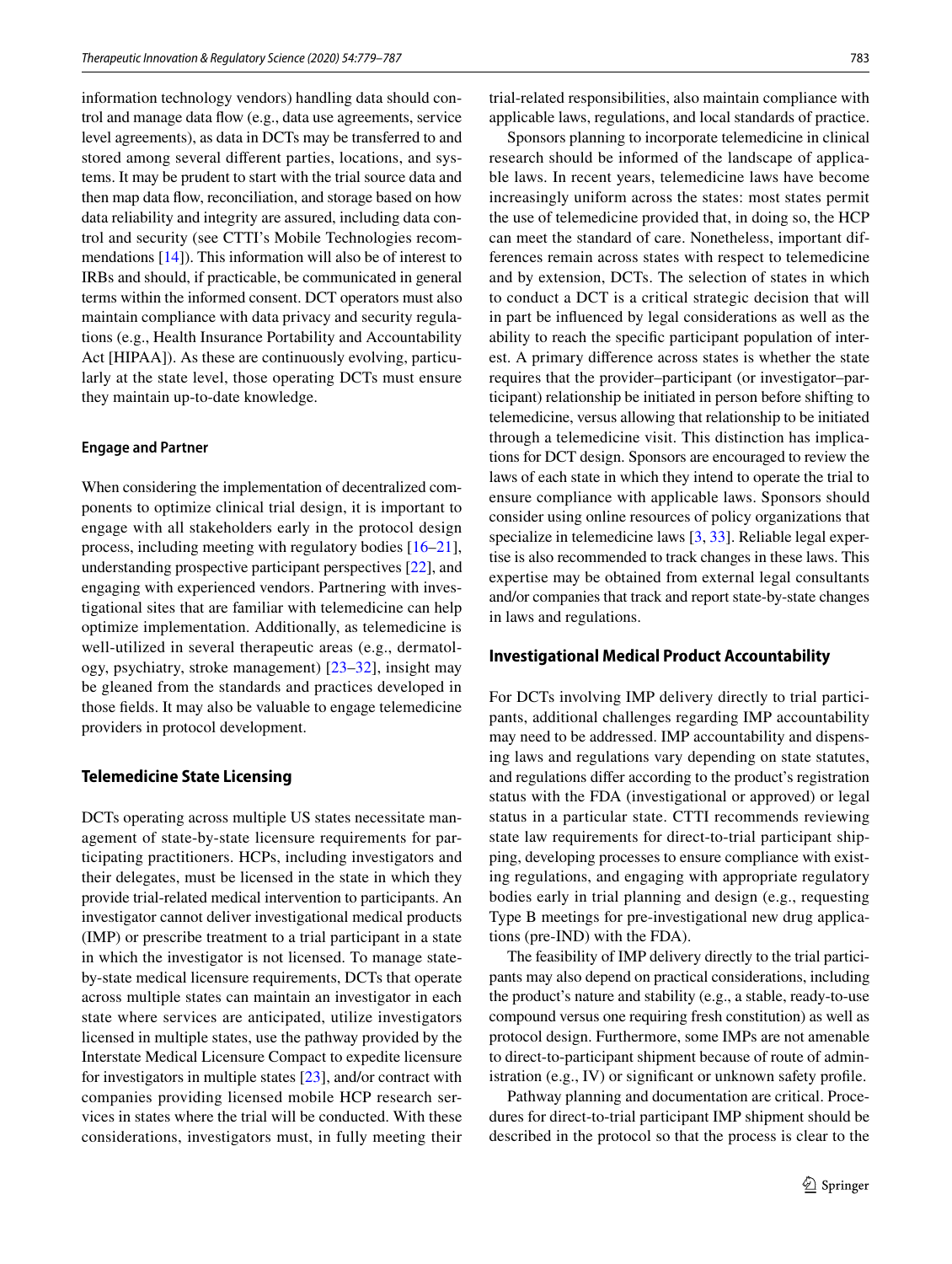information technology vendors) handling data should control and manage data fow (e.g., data use agreements, service level agreements), as data in DCTs may be transferred to and stored among several diferent parties, locations, and systems. It may be prudent to start with the trial source data and then map data fow, reconciliation, and storage based on how data reliability and integrity are assured, including data control and security (see CTTI's Mobile Technologies recommendations  $[14]$  $[14]$ ). This information will also be of interest to IRBs and should, if practicable, be communicated in general terms within the informed consent. DCT operators must also maintain compliance with data privacy and security regulations (e.g., Health Insurance Portability and Accountability Act [HIPAA]). As these are continuously evolving, particularly at the state level, those operating DCTs must ensure they maintain up-to-date knowledge.

#### **Engage and Partner**

When considering the implementation of decentralized components to optimize clinical trial design, it is important to engage with all stakeholders early in the protocol design process, including meeting with regulatory bodies [[16](#page-8-8)[–21](#page-8-9)], understanding prospective participant perspectives [[22\]](#page-8-10), and engaging with experienced vendors. Partnering with investigational sites that are familiar with telemedicine can help optimize implementation. Additionally, as telemedicine is well-utilized in several therapeutic areas (e.g., dermatology, psychiatry, stroke management) [\[23](#page-8-11)[–32\]](#page-8-12), insight may be gleaned from the standards and practices developed in those felds. It may also be valuable to engage telemedicine providers in protocol development.

#### **Telemedicine State Licensing**

DCTs operating across multiple US states necessitate management of state-by-state licensure requirements for participating practitioners. HCPs, including investigators and their delegates, must be licensed in the state in which they provide trial-related medical intervention to participants. An investigator cannot deliver investigational medical products (IMP) or prescribe treatment to a trial participant in a state in which the investigator is not licensed. To manage stateby-state medical licensure requirements, DCTs that operate across multiple states can maintain an investigator in each state where services are anticipated, utilize investigators licensed in multiple states, use the pathway provided by the Interstate Medical Licensure Compact to expedite licensure for investigators in multiple states [[23\]](#page-8-11), and/or contract with companies providing licensed mobile HCP research services in states where the trial will be conducted. With these considerations, investigators must, in fully meeting their trial-related responsibilities, also maintain compliance with applicable laws, regulations, and local standards of practice.

Sponsors planning to incorporate telemedicine in clinical research should be informed of the landscape of applicable laws. In recent years, telemedicine laws have become increasingly uniform across the states: most states permit the use of telemedicine provided that, in doing so, the HCP can meet the standard of care. Nonetheless, important differences remain across states with respect to telemedicine and by extension, DCTs. The selection of states in which to conduct a DCT is a critical strategic decision that will in part be infuenced by legal considerations as well as the ability to reach the specifc participant population of interest. A primary diference across states is whether the state requires that the provider–participant (or investigator–participant) relationship be initiated in person before shifting to telemedicine, versus allowing that relationship to be initiated through a telemedicine visit. This distinction has implications for DCT design. Sponsors are encouraged to review the laws of each state in which they intend to operate the trial to ensure compliance with applicable laws. Sponsors should consider using online resources of policy organizations that specialize in telemedicine laws [\[3](#page-7-2), [33](#page-8-13)]. Reliable legal expertise is also recommended to track changes in these laws. This expertise may be obtained from external legal consultants and/or companies that track and report state-by-state changes in laws and regulations.

#### **Investigational Medical Product Accountability**

For DCTs involving IMP delivery directly to trial participants, additional challenges regarding IMP accountability may need to be addressed. IMP accountability and dispensing laws and regulations vary depending on state statutes, and regulations difer according to the product's registration status with the FDA (investigational or approved) or legal status in a particular state. CTTI recommends reviewing state law requirements for direct-to-trial participant shipping, developing processes to ensure compliance with existing regulations, and engaging with appropriate regulatory bodies early in trial planning and design (e.g., requesting Type B meetings for pre-investigational new drug applications (pre-IND) with the FDA).

The feasibility of IMP delivery directly to the trial participants may also depend on practical considerations, including the product's nature and stability (e.g., a stable, ready-to-use compound versus one requiring fresh constitution) as well as protocol design. Furthermore, some IMPs are not amenable to direct-to-participant shipment because of route of administration (e.g., IV) or significant or unknown safety profile.

Pathway planning and documentation are critical. Procedures for direct-to-trial participant IMP shipment should be described in the protocol so that the process is clear to the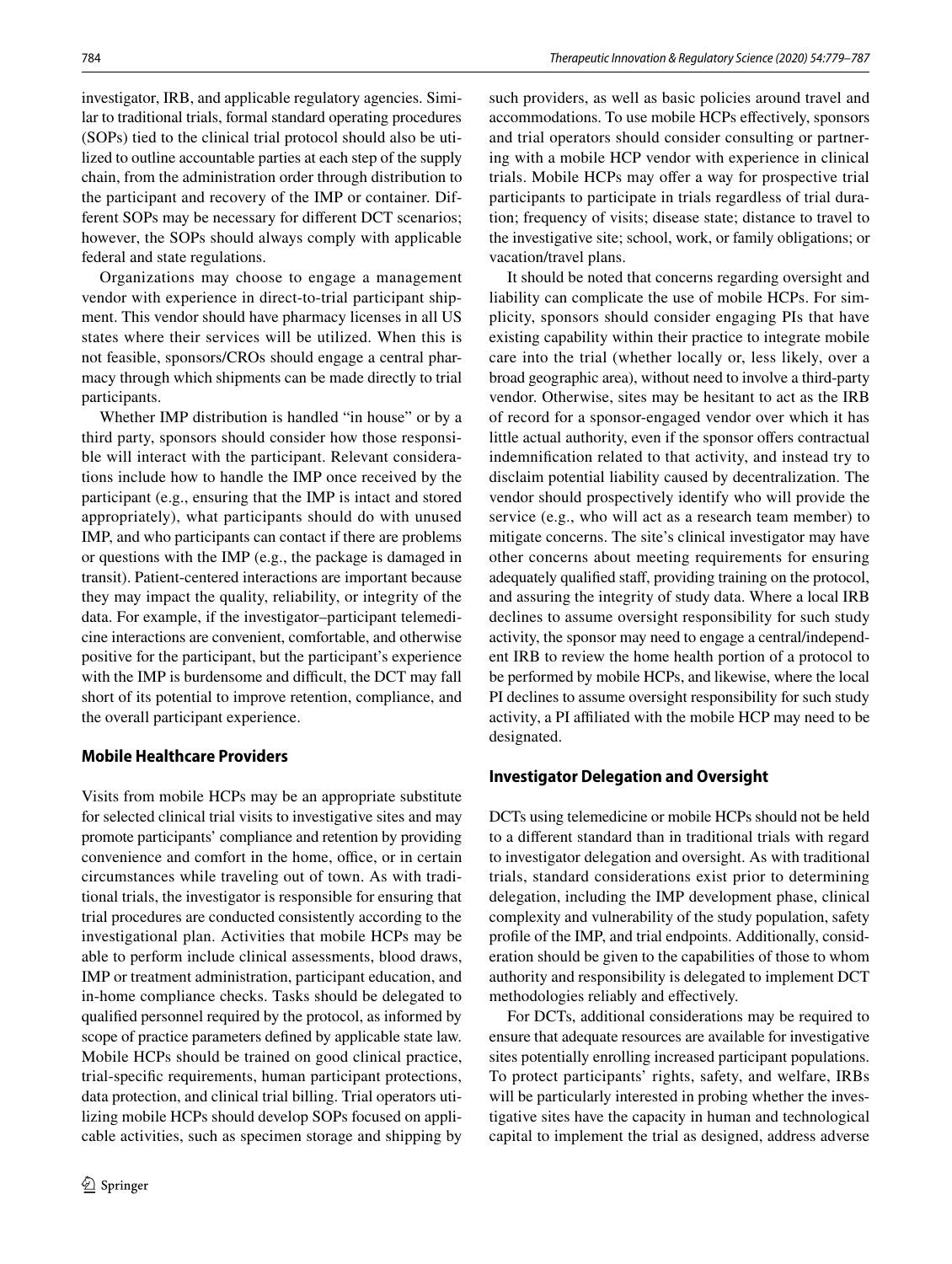investigator, IRB, and applicable regulatory agencies. Similar to traditional trials, formal standard operating procedures (SOPs) tied to the clinical trial protocol should also be utilized to outline accountable parties at each step of the supply chain, from the administration order through distribution to the participant and recovery of the IMP or container. Different SOPs may be necessary for diferent DCT scenarios; however, the SOPs should always comply with applicable federal and state regulations.

Organizations may choose to engage a management vendor with experience in direct-to-trial participant shipment. This vendor should have pharmacy licenses in all US states where their services will be utilized. When this is not feasible, sponsors/CROs should engage a central pharmacy through which shipments can be made directly to trial participants.

Whether IMP distribution is handled "in house" or by a third party, sponsors should consider how those responsible will interact with the participant. Relevant considerations include how to handle the IMP once received by the participant (e.g., ensuring that the IMP is intact and stored appropriately), what participants should do with unused IMP, and who participants can contact if there are problems or questions with the IMP (e.g., the package is damaged in transit). Patient-centered interactions are important because they may impact the quality, reliability, or integrity of the data. For example, if the investigator–participant telemedicine interactions are convenient, comfortable, and otherwise positive for the participant, but the participant's experience with the IMP is burdensome and difficult, the DCT may fall short of its potential to improve retention, compliance, and the overall participant experience.

## **Mobile Healthcare Providers**

Visits from mobile HCPs may be an appropriate substitute for selected clinical trial visits to investigative sites and may promote participants' compliance and retention by providing convenience and comfort in the home, office, or in certain circumstances while traveling out of town. As with traditional trials, the investigator is responsible for ensuring that trial procedures are conducted consistently according to the investigational plan. Activities that mobile HCPs may be able to perform include clinical assessments, blood draws, IMP or treatment administration, participant education, and in-home compliance checks. Tasks should be delegated to qualifed personnel required by the protocol, as informed by scope of practice parameters defned by applicable state law. Mobile HCPs should be trained on good clinical practice, trial-specifc requirements, human participant protections, data protection, and clinical trial billing. Trial operators utilizing mobile HCPs should develop SOPs focused on applicable activities, such as specimen storage and shipping by such providers, as well as basic policies around travel and accommodations. To use mobile HCPs efectively, sponsors and trial operators should consider consulting or partnering with a mobile HCP vendor with experience in clinical trials. Mobile HCPs may offer a way for prospective trial participants to participate in trials regardless of trial duration; frequency of visits; disease state; distance to travel to the investigative site; school, work, or family obligations; or vacation/travel plans.

It should be noted that concerns regarding oversight and liability can complicate the use of mobile HCPs. For simplicity, sponsors should consider engaging PIs that have existing capability within their practice to integrate mobile care into the trial (whether locally or, less likely, over a broad geographic area), without need to involve a third-party vendor. Otherwise, sites may be hesitant to act as the IRB of record for a sponsor-engaged vendor over which it has little actual authority, even if the sponsor offers contractual indemnifcation related to that activity, and instead try to disclaim potential liability caused by decentralization. The vendor should prospectively identify who will provide the service (e.g., who will act as a research team member) to mitigate concerns. The site's clinical investigator may have other concerns about meeting requirements for ensuring adequately qualifed staf, providing training on the protocol, and assuring the integrity of study data. Where a local IRB declines to assume oversight responsibility for such study activity, the sponsor may need to engage a central/independent IRB to review the home health portion of a protocol to be performed by mobile HCPs, and likewise, where the local PI declines to assume oversight responsibility for such study activity, a PI afliated with the mobile HCP may need to be designated.

## **Investigator Delegation and Oversight**

DCTs using telemedicine or mobile HCPs should not be held to a diferent standard than in traditional trials with regard to investigator delegation and oversight. As with traditional trials, standard considerations exist prior to determining delegation, including the IMP development phase, clinical complexity and vulnerability of the study population, safety profle of the IMP, and trial endpoints. Additionally, consideration should be given to the capabilities of those to whom authority and responsibility is delegated to implement DCT methodologies reliably and efectively.

For DCTs, additional considerations may be required to ensure that adequate resources are available for investigative sites potentially enrolling increased participant populations. To protect participants' rights, safety, and welfare, IRBs will be particularly interested in probing whether the investigative sites have the capacity in human and technological capital to implement the trial as designed, address adverse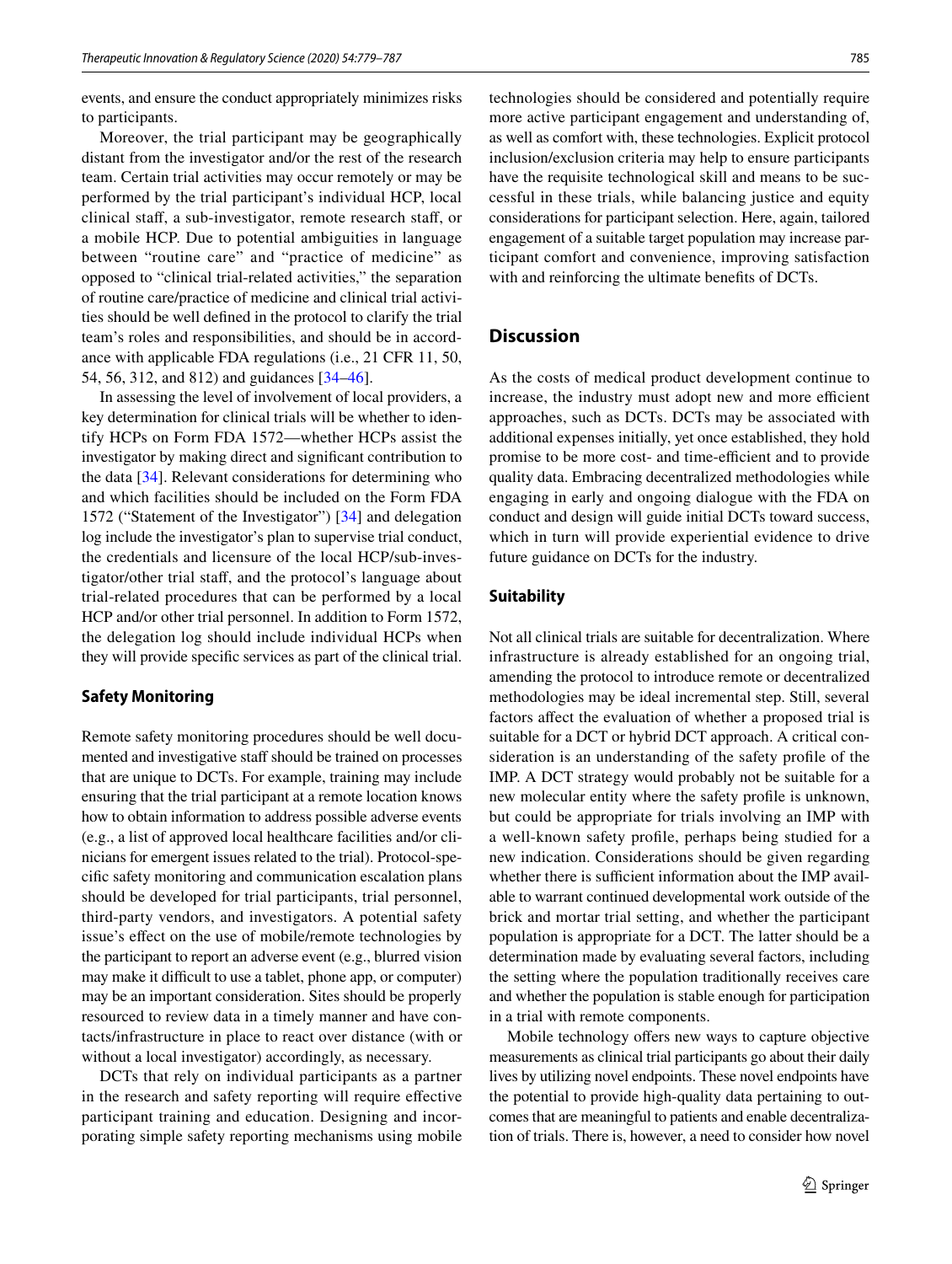events, and ensure the conduct appropriately minimizes risks to participants.

Moreover, the trial participant may be geographically distant from the investigator and/or the rest of the research team. Certain trial activities may occur remotely or may be performed by the trial participant's individual HCP, local clinical staf, a sub-investigator, remote research staf, or a mobile HCP. Due to potential ambiguities in language between "routine care" and "practice of medicine" as opposed to "clinical trial-related activities," the separation of routine care/practice of medicine and clinical trial activities should be well defned in the protocol to clarify the trial team's roles and responsibilities, and should be in accordance with applicable FDA regulations (i.e., 21 CFR 11, 50, 54, 56, 312, and 812) and guidances [[34–](#page-8-14)[46\]](#page-8-15).

In assessing the level of involvement of local providers, a key determination for clinical trials will be whether to identify HCPs on Form FDA 1572—whether HCPs assist the investigator by making direct and signifcant contribution to the data [[34\]](#page-8-14). Relevant considerations for determining who and which facilities should be included on the Form FDA 1572 ("Statement of the Investigator") [\[34\]](#page-8-14) and delegation log include the investigator's plan to supervise trial conduct, the credentials and licensure of the local HCP/sub-investigator/other trial staf, and the protocol's language about trial-related procedures that can be performed by a local HCP and/or other trial personnel. In addition to Form 1572, the delegation log should include individual HCPs when they will provide specifc services as part of the clinical trial.

#### **Safety Monitoring**

Remote safety monitoring procedures should be well documented and investigative staff should be trained on processes that are unique to DCTs. For example, training may include ensuring that the trial participant at a remote location knows how to obtain information to address possible adverse events (e.g., a list of approved local healthcare facilities and/or clinicians for emergent issues related to the trial). Protocol-specifc safety monitoring and communication escalation plans should be developed for trial participants, trial personnel, third-party vendors, and investigators. A potential safety issue's efect on the use of mobile/remote technologies by the participant to report an adverse event (e.g., blurred vision may make it difficult to use a tablet, phone app, or computer) may be an important consideration. Sites should be properly resourced to review data in a timely manner and have contacts/infrastructure in place to react over distance (with or without a local investigator) accordingly, as necessary.

DCTs that rely on individual participants as a partner in the research and safety reporting will require efective participant training and education. Designing and incorporating simple safety reporting mechanisms using mobile technologies should be considered and potentially require more active participant engagement and understanding of, as well as comfort with, these technologies. Explicit protocol inclusion/exclusion criteria may help to ensure participants have the requisite technological skill and means to be successful in these trials, while balancing justice and equity considerations for participant selection. Here, again, tailored engagement of a suitable target population may increase participant comfort and convenience, improving satisfaction with and reinforcing the ultimate benefts of DCTs.

## **Discussion**

As the costs of medical product development continue to increase, the industry must adopt new and more efficient approaches, such as DCTs. DCTs may be associated with additional expenses initially, yet once established, they hold promise to be more cost- and time-efficient and to provide quality data. Embracing decentralized methodologies while engaging in early and ongoing dialogue with the FDA on conduct and design will guide initial DCTs toward success, which in turn will provide experiential evidence to drive future guidance on DCTs for the industry.

#### **Suitability**

Not all clinical trials are suitable for decentralization. Where infrastructure is already established for an ongoing trial, amending the protocol to introduce remote or decentralized methodologies may be ideal incremental step. Still, several factors afect the evaluation of whether a proposed trial is suitable for a DCT or hybrid DCT approach. A critical consideration is an understanding of the safety profle of the IMP. A DCT strategy would probably not be suitable for a new molecular entity where the safety profle is unknown, but could be appropriate for trials involving an IMP with a well-known safety profle, perhaps being studied for a new indication. Considerations should be given regarding whether there is sufficient information about the IMP available to warrant continued developmental work outside of the brick and mortar trial setting, and whether the participant population is appropriate for a DCT. The latter should be a determination made by evaluating several factors, including the setting where the population traditionally receives care and whether the population is stable enough for participation in a trial with remote components.

Mobile technology offers new ways to capture objective measurements as clinical trial participants go about their daily lives by utilizing novel endpoints. These novel endpoints have the potential to provide high-quality data pertaining to outcomes that are meaningful to patients and enable decentralization of trials. There is, however, a need to consider how novel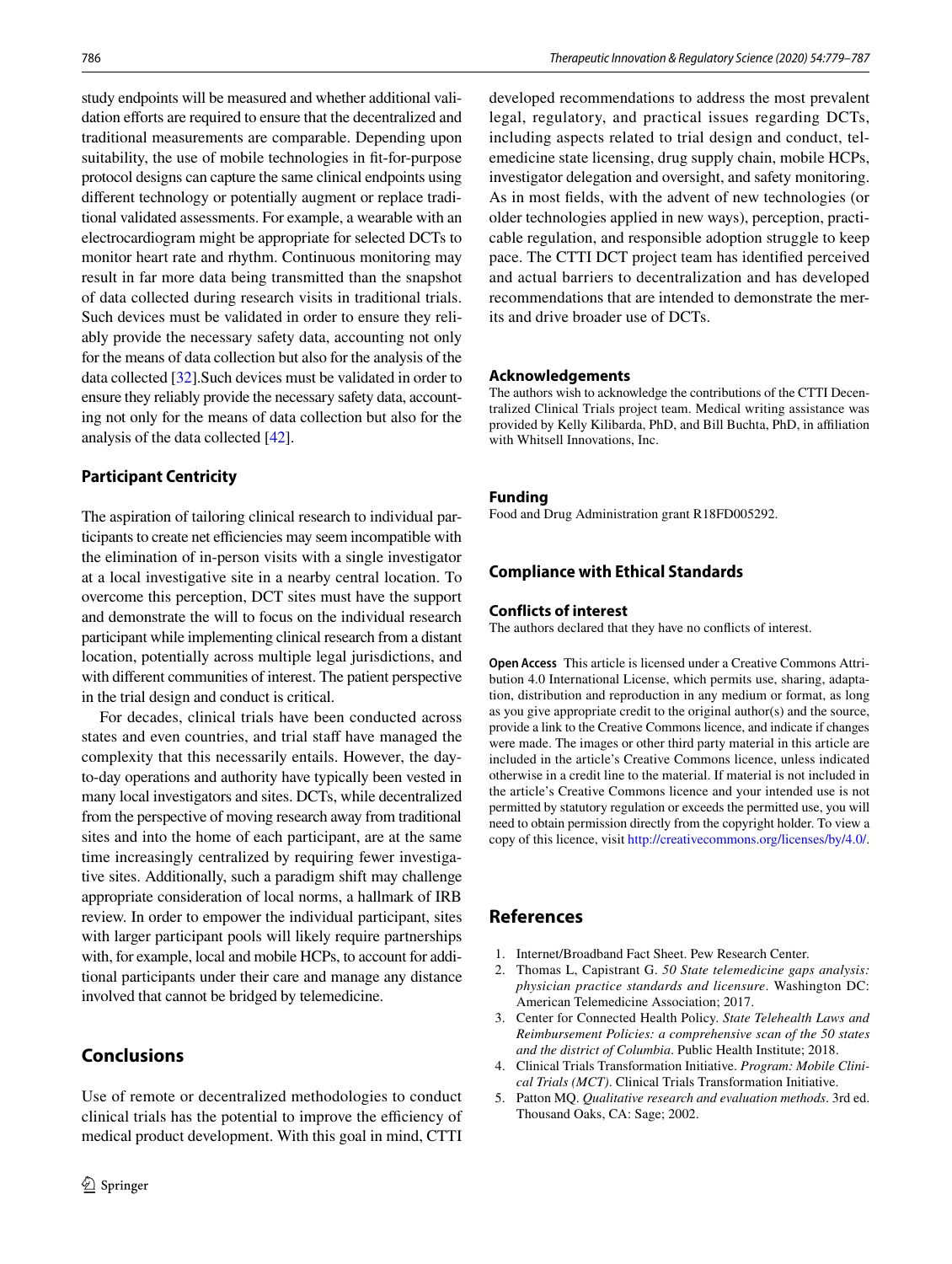study endpoints will be measured and whether additional validation efforts are required to ensure that the decentralized and traditional measurements are comparable. Depending upon suitability, the use of mobile technologies in ft-for-purpose protocol designs can capture the same clinical endpoints using diferent technology or potentially augment or replace traditional validated assessments. For example, a wearable with an electrocardiogram might be appropriate for selected DCTs to monitor heart rate and rhythm. Continuous monitoring may result in far more data being transmitted than the snapshot of data collected during research visits in traditional trials. Such devices must be validated in order to ensure they reliably provide the necessary safety data, accounting not only for the means of data collection but also for the analysis of the data collected [\[32](#page-8-12)].Such devices must be validated in order to ensure they reliably provide the necessary safety data, accounting not only for the means of data collection but also for the analysis of the data collected [[42\]](#page-8-16).

## **Participant Centricity**

The aspiration of tailoring clinical research to individual participants to create net efficiencies may seem incompatible with the elimination of in-person visits with a single investigator at a local investigative site in a nearby central location. To overcome this perception, DCT sites must have the support and demonstrate the will to focus on the individual research participant while implementing clinical research from a distant location, potentially across multiple legal jurisdictions, and with diferent communities of interest. The patient perspective in the trial design and conduct is critical.

For decades, clinical trials have been conducted across states and even countries, and trial staff have managed the complexity that this necessarily entails. However, the dayto-day operations and authority have typically been vested in many local investigators and sites. DCTs, while decentralized from the perspective of moving research away from traditional sites and into the home of each participant, are at the same time increasingly centralized by requiring fewer investigative sites. Additionally, such a paradigm shift may challenge appropriate consideration of local norms, a hallmark of IRB review. In order to empower the individual participant, sites with larger participant pools will likely require partnerships with, for example, local and mobile HCPs, to account for additional participants under their care and manage any distance involved that cannot be bridged by telemedicine.

# **Conclusions**

Use of remote or decentralized methodologies to conduct clinical trials has the potential to improve the efficiency of medical product development. With this goal in mind, CTTI

developed recommendations to address the most prevalent legal, regulatory, and practical issues regarding DCTs, including aspects related to trial design and conduct, telemedicine state licensing, drug supply chain, mobile HCPs, investigator delegation and oversight, and safety monitoring. As in most felds, with the advent of new technologies (or older technologies applied in new ways), perception, practicable regulation, and responsible adoption struggle to keep pace. The CTTI DCT project team has identifed perceived and actual barriers to decentralization and has developed recommendations that are intended to demonstrate the merits and drive broader use of DCTs.

#### **Acknowledgements**

The authors wish to acknowledge the contributions of the CTTI Decentralized Clinical Trials project team. Medical writing assistance was provided by Kelly Kilibarda, PhD, and Bill Buchta, PhD, in afliation with Whitsell Innovations, Inc.

#### **Funding**

Food and Drug Administration grant R18FD005292.

#### **Compliance with Ethical Standards**

#### **Conflicts of interest**

The authors declared that they have no conficts of interest.

**Open Access** This article is licensed under a Creative Commons Attribution 4.0 International License, which permits use, sharing, adaptation, distribution and reproduction in any medium or format, as long as you give appropriate credit to the original author(s) and the source, provide a link to the Creative Commons licence, and indicate if changes were made. The images or other third party material in this article are included in the article's Creative Commons licence, unless indicated otherwise in a credit line to the material. If material is not included in the article's Creative Commons licence and your intended use is not permitted by statutory regulation or exceeds the permitted use, you will need to obtain permission directly from the copyright holder. To view a copy of this licence, visit<http://creativecommons.org/licenses/by/4.0/>.

## **References**

- <span id="page-7-0"></span>1. Internet/Broadband Fact Sheet. Pew Research Center.
- <span id="page-7-1"></span>2. Thomas L, Capistrant G. *50 State telemedicine gaps analysis: physician practice standards and licensure*. Washington DC: American Telemedicine Association; 2017.
- <span id="page-7-2"></span>3. Center for Connected Health Policy. *State Telehealth Laws and Reimbursement Policies: a comprehensive scan of the 50 states and the district of Columbia*. Public Health Institute; 2018.
- <span id="page-7-3"></span>4. Clinical Trials Transformation Initiative. *Program: Mobile Clinical Trials (MCT)*. Clinical Trials Transformation Initiative.
- <span id="page-7-4"></span>5. Patton MQ. *Qualitative research and evaluation methods*. 3rd ed. Thousand Oaks, CA: Sage; 2002.